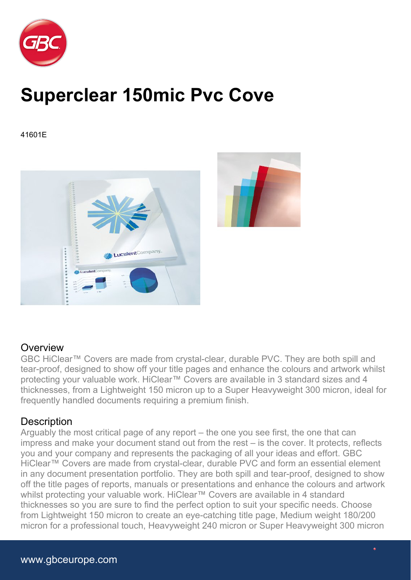

## **Superclear 150mic Pvc Cove**

41601E



## **Overview**

GBC HiClear™ Covers are made from crystal-clear, durable PVC. They are both spill and tear-proof, designed to show off your title pages and enhance the colours and artwork whilst protecting your valuable work. HiClear™ Covers are available in 3 standard sizes and 4 thicknesses, from a Lightweight 150 micron up to a Super Heavyweight 300 micron, ideal for frequently handled documents requiring a premium finish.

## **Description**

Arguably the most critical page of any report – the one you see first, the one that can impress and make your document stand out from the rest – is the cover. It protects, reflects you and your company and represents the packaging of all your ideas and effort. GBC HiClear™ Covers are made from crystal-clear, durable PVC and form an essential element in any document presentation portfolio. They are both spill and tear-proof, designed to show off the title pages of reports, manuals or presentations and enhance the colours and artwork whilst protecting your valuable work. HiClear™ Covers are available in 4 standard thicknesses so you are sure to find the perfect option to suit your specific needs. Choose from Lightweight 150 micron to create an eye-catching title page, Medium weight 180/200 micron for a professional touch, Heavyweight 240 micron or Super Heavyweight 300 micron